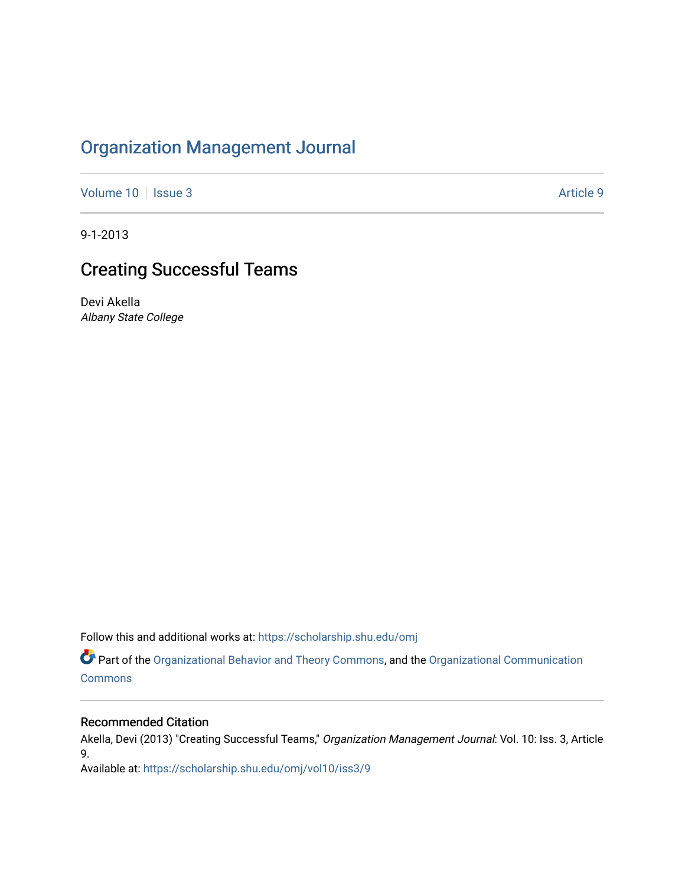## [Organization Management Journal](https://scholarship.shu.edu/omj)

[Volume 10](https://scholarship.shu.edu/omj/vol10) | [Issue 3](https://scholarship.shu.edu/omj/vol10/iss3) Article 9

9-1-2013

## Creating Successful Teams

Devi Akella Albany State College

Follow this and additional works at: [https://scholarship.shu.edu/omj](https://scholarship.shu.edu/omj?utm_source=scholarship.shu.edu%2Fomj%2Fvol10%2Fiss3%2F9&utm_medium=PDF&utm_campaign=PDFCoverPages) 

Part of the [Organizational Behavior and Theory Commons,](http://network.bepress.com/hgg/discipline/639?utm_source=scholarship.shu.edu%2Fomj%2Fvol10%2Fiss3%2F9&utm_medium=PDF&utm_campaign=PDFCoverPages) and the [Organizational Communication](http://network.bepress.com/hgg/discipline/335?utm_source=scholarship.shu.edu%2Fomj%2Fvol10%2Fiss3%2F9&utm_medium=PDF&utm_campaign=PDFCoverPages) **[Commons](http://network.bepress.com/hgg/discipline/335?utm_source=scholarship.shu.edu%2Fomj%2Fvol10%2Fiss3%2F9&utm_medium=PDF&utm_campaign=PDFCoverPages)** 

#### Recommended Citation

Akella, Devi (2013) "Creating Successful Teams," Organization Management Journal: Vol. 10: Iss. 3, Article 9.

Available at: [https://scholarship.shu.edu/omj/vol10/iss3/9](https://scholarship.shu.edu/omj/vol10/iss3/9?utm_source=scholarship.shu.edu%2Fomj%2Fvol10%2Fiss3%2F9&utm_medium=PDF&utm_campaign=PDFCoverPages)